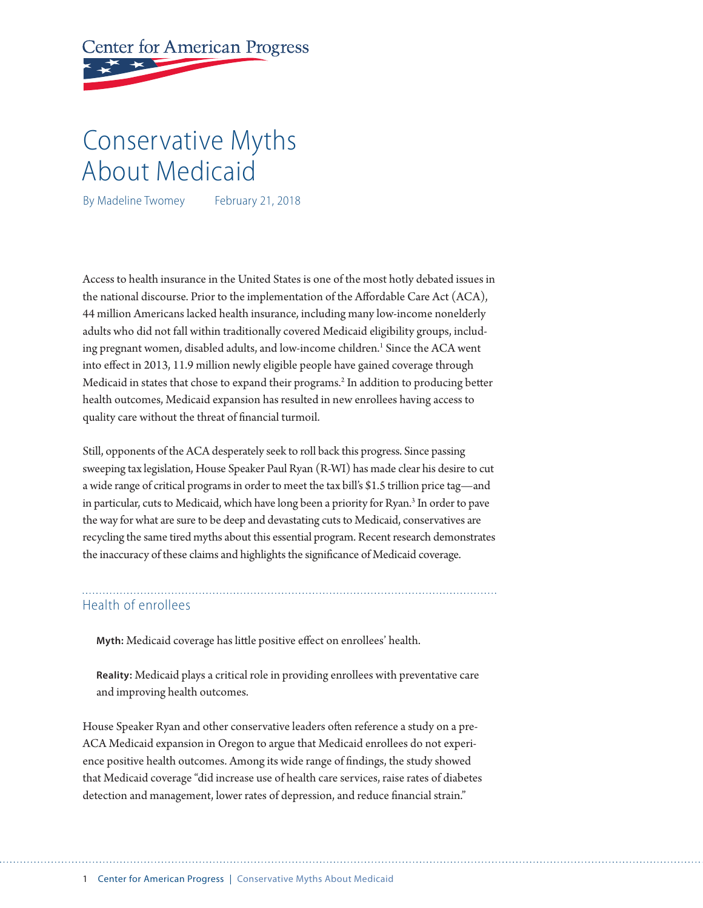# **Center for American Progress**

# Conservative Myths About Medicaid

By Madeline Twomey February 21, 2018

Access to health insurance in the United States is one of the most hotly debated issues in the national discourse. Prior to the implementation of the Afordable Care Act (ACA), 44 million Americans lacked health insurance, including many low-income nonelderly adults who did not fall within traditionally covered Medicaid eligibility groups, including pregnant women, disabled adults, and low-income children.<sup>1</sup> Since the ACA went into efect in 2013, 11.9 million newly eligible people have gained coverage through Medicaid in states that chose to expand their programs.<sup>2</sup> In addition to producing better health outcomes, Medicaid expansion has resulted in new enrollees having access to quality care without the threat of fnancial turmoil.

Still, opponents of the ACA desperately seek to roll back this progress. Since passing sweeping tax legislation, House Speaker Paul Ryan (R-WI) has made clear his desire to cut a wide range of critical programs in order to meet the tax bill's \$1.5 trillion price tag—and in particular, cuts to Medicaid, which have long been a priority for Ryan.<sup>3</sup> In order to pave the way for what are sure to be deep and devastating cuts to Medicaid, conservatives are recycling the same tired myths about this essential program. Recent research demonstrates the inaccuracy of these claims and highlights the signifcance of Medicaid coverage.

### Health of enrollees

**Myth:** Medicaid coverage has litle positive efect on enrollees' health.

**Reality:** Medicaid plays a critical role in providing enrollees with preventative care and improving health outcomes.

House Speaker Ryan and other conservative leaders often reference a study on a pre-ACA Medicaid expansion in Oregon to argue that Medicaid enrollees do not experience positive health outcomes. Among its wide range of fndings, the study showed that Medicaid coverage "did increase use of health care services, raise rates of diabetes detection and management, lower rates of depression, and reduce fnancial strain."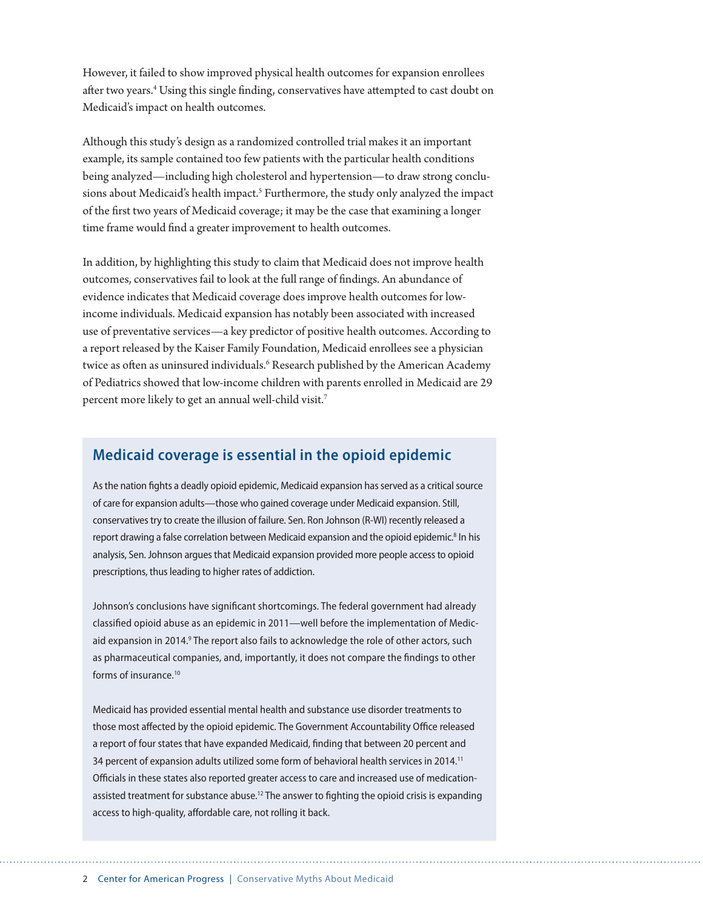However, it failed to show improved physical health outcomes for expansion enrollees after two years.<sup>4</sup> Using this single finding, conservatives have attempted to cast doubt on Medicaid's impact on health outcomes.

Although this study's design as a randomized controlled trial makes it an important example, its sample contained too few patients with the particular health conditions being analyzed—including high cholesterol and hypertension—to draw strong conclusions about Medicaid's health impact.<sup>5</sup> Furthermore, the study only analyzed the impact of the frst two years of Medicaid coverage; it may be the case that examining a longer time frame would fnd a greater improvement to health outcomes.

In addition, by highlighting this study to claim that Medicaid does not improve health outcomes, conservatives fail to look at the full range of fndings. An abundance of evidence indicates that Medicaid coverage does improve health outcomes for lowincome individuals. Medicaid expansion has notably been associated with increased use of preventative services—a key predictor of positive health outcomes. According to a report released by the Kaiser Family Foundation, Medicaid enrollees see a physician twice as often as uninsured individuals.<sup>6</sup> Research published by the American Academy of Pediatrics showed that low-income children with parents enrolled in Medicaid are 29 percent more likely to get an annual well-child visit.<sup>7</sup>

## **Medicaid coverage is essential in the opioid epidemic**

As the nation fights a deadly opioid epidemic, Medicaid expansion has served as a critical source of care for expansion adults—those who gained coverage under Medicaid expansion. Still, conservatives try to create the illusion of failure. Sen. Ron Johnson (R-WI) recently released a report drawing a false correlation between Medicaid expansion and the opioid epidemic.<sup>8</sup> In his analysis, Sen. Johnson argues that Medicaid expansion provided more people access to opioid prescriptions, thus leading to higher rates of addiction.

Johnson's conclusions have significant shortcomings. The federal government had already classified opioid abuse as an epidemic in 2011—well before the implementation of Medicaid expansion in 2014.<sup>9</sup> The report also fails to acknowledge the role of other actors, such as pharmaceutical companies, and, importantly, it does not compare the findings to other forms of insurance.<sup>10</sup>

Medicaid has provided essential mental health and substance use disorder treatments to those most affected by the opioid epidemic. The Government Accountability Office released a report of four states that have expanded Medicaid, finding that between 20 percent and 34 percent of expansion adults utilized some form of behavioral health services in 2014.11 Officials in these states also reported greater access to care and increased use of medicationassisted treatment for substance abuse.<sup>12</sup> The answer to fighting the opioid crisis is expanding access to high-quality, affordable care, not rolling it back.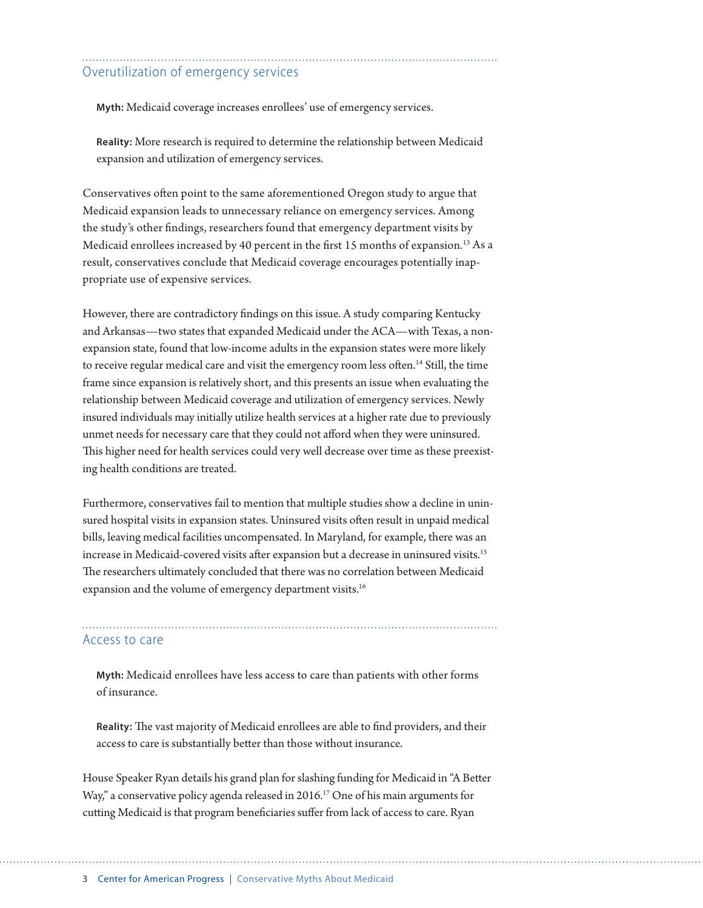### Overutilization of emergency services

**Myth:** Medicaid coverage increases enrollees' use of emergency services.

**Reality:** More research is required to determine the relationship between Medicaid expansion and utilization of emergency services.

Conservatives ofen point to the same aforementioned Oregon study to argue that Medicaid expansion leads to unnecessary reliance on emergency services. Among the study's other fndings, researchers found that emergency department visits by Medicaid enrollees increased by 40 percent in the first 15 months of expansion.<sup>13</sup> As a result, conservatives conclude that Medicaid coverage encourages potentially inappropriate use of expensive services.

However, there are contradictory fndings on this issue. A study comparing Kentucky and Arkansas—two states that expanded Medicaid under the ACA—with Texas, a nonexpansion state, found that low-income adults in the expansion states were more likely to receive regular medical care and visit the emergency room less often.<sup>14</sup> Still, the time frame since expansion is relatively short, and this presents an issue when evaluating the relationship between Medicaid coverage and utilization of emergency services. Newly insured individuals may initially utilize health services at a higher rate due to previously unmet needs for necessary care that they could not aford when they were uninsured. This higher need for health services could very well decrease over time as these preexisting health conditions are treated.

Furthermore, conservatives fail to mention that multiple studies show a decline in uninsured hospital visits in expansion states. Uninsured visits ofen result in unpaid medical bills, leaving medical facilities uncompensated. In Maryland, for example, there was an increase in Medicaid-covered visits after expansion but a decrease in uninsured visits.<sup>15</sup> The researchers ultimately concluded that there was no correlation between Medicaid expansion and the volume of emergency department visits.<sup>16</sup>

#### Access to care

**Myth:** Medicaid enrollees have less access to care than patients with other forms of insurance.

Reality: The vast majority of Medicaid enrollees are able to find providers, and their access to care is substantially beter than those without insurance.

House Speaker Ryan details his grand plan for slashing funding for Medicaid in "A Beter Way," a conservative policy agenda released in 2016.<sup>17</sup> One of his main arguments for cuting Medicaid is that program benefciaries sufer from lack of access to care. Ryan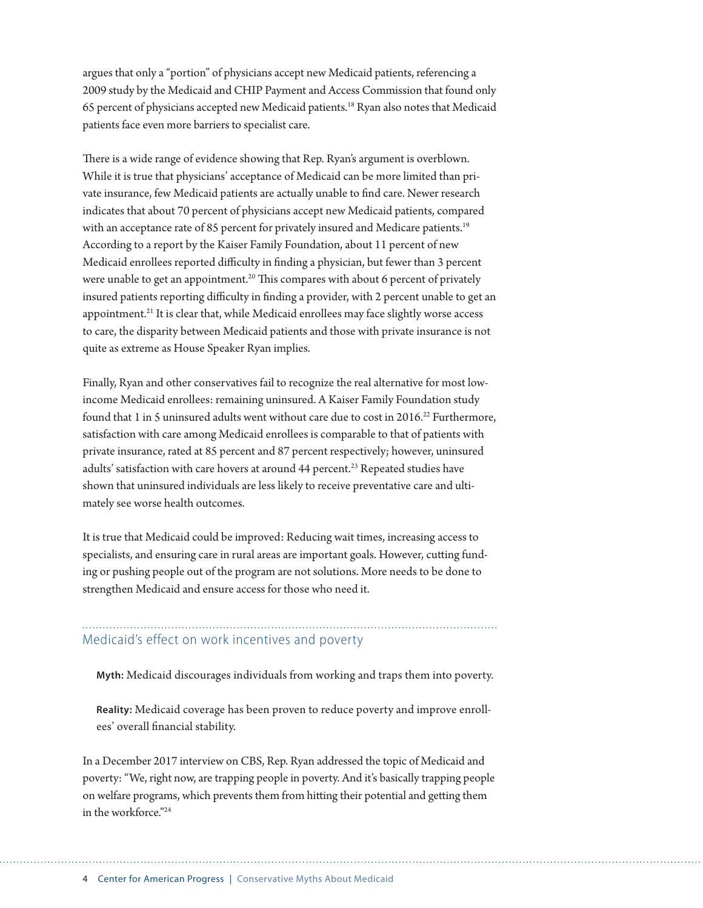argues that only a "portion" of physicians accept new Medicaid patients, referencing a 2009 study by the Medicaid and CHIP Payment and Access Commission that found only 65 percent of physicians accepted new Medicaid patients.18 Ryan also notes that Medicaid patients face even more barriers to specialist care.

There is a wide range of evidence showing that Rep. Ryan's argument is overblown. While it is true that physicians' acceptance of Medicaid can be more limited than private insurance, few Medicaid patients are actually unable to fnd care. Newer research indicates that about 70 percent of physicians accept new Medicaid patients, compared with an acceptance rate of 85 percent for privately insured and Medicare patients.<sup>19</sup> According to a report by the Kaiser Family Foundation, about 11 percent of new Medicaid enrollees reported difficulty in finding a physician, but fewer than 3 percent were unable to get an appointment.<sup>20</sup> This compares with about 6 percent of privately insured patients reporting difficulty in finding a provider, with 2 percent unable to get an appointment.21 It is clear that, while Medicaid enrollees may face slightly worse access to care, the disparity between Medicaid patients and those with private insurance is not quite as extreme as House Speaker Ryan implies.

Finally, Ryan and other conservatives fail to recognize the real alternative for most lowincome Medicaid enrollees: remaining uninsured. A Kaiser Family Foundation study found that 1 in 5 uninsured adults went without care due to cost in 2016.<sup>22</sup> Furthermore, satisfaction with care among Medicaid enrollees is comparable to that of patients with private insurance, rated at 85 percent and 87 percent respectively; however, uninsured adults' satisfaction with care hovers at around 44 percent.<sup>23</sup> Repeated studies have shown that uninsured individuals are less likely to receive preventative care and ultimately see worse health outcomes.

It is true that Medicaid could be improved: Reducing wait times, increasing access to specialists, and ensuring care in rural areas are important goals. However, cuting funding or pushing people out of the program are not solutions. More needs to be done to strengthen Medicaid and ensure access for those who need it.

# Medicaid's effect on work incentives and poverty

**Myth:** Medicaid discourages individuals from working and traps them into poverty.

**Reality:** Medicaid coverage has been proven to reduce poverty and improve enrollees' overall fnancial stability.

In a December 2017 interview on CBS, Rep. Ryan addressed the topic of Medicaid and poverty: "We, right now, are trapping people in poverty. And it's basically trapping people on welfare programs, which prevents them from hiting their potential and geting them in the workforce."24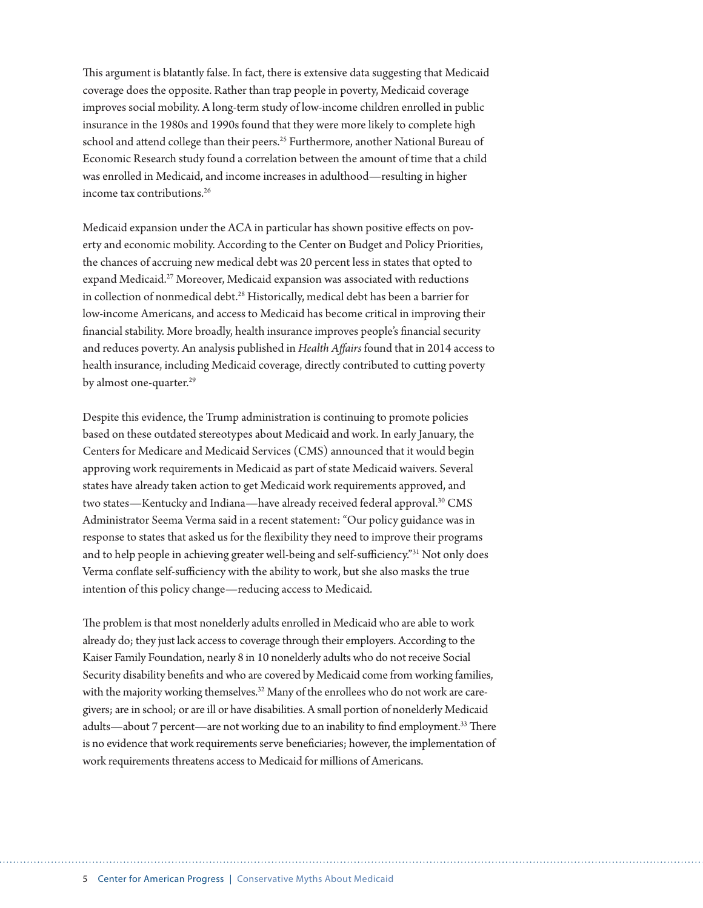This argument is blatantly false. In fact, there is extensive data suggesting that Medicaid coverage does the opposite. Rather than trap people in poverty, Medicaid coverage improves social mobility. A long-term study of low-income children enrolled in public insurance in the 1980s and 1990s found that they were more likely to complete high school and attend college than their peers.<sup>25</sup> Furthermore, another National Bureau of Economic Research study found a correlation between the amount of time that a child was enrolled in Medicaid, and income increases in adulthood—resulting in higher income tax contributions.26

Medicaid expansion under the ACA in particular has shown positive efects on poverty and economic mobility. According to the Center on Budget and Policy Priorities, the chances of accruing new medical debt was 20 percent less in states that opted to expand Medicaid.<sup>27</sup> Moreover, Medicaid expansion was associated with reductions in collection of nonmedical debt.<sup>28</sup> Historically, medical debt has been a barrier for low-income Americans, and access to Medicaid has become critical in improving their fnancial stability. More broadly, health insurance improves people's fnancial security and reduces poverty. An analysis published in *Health Afairs* found that in 2014 access to health insurance, including Medicaid coverage, directly contributed to cuting poverty by almost one-quarter.<sup>29</sup>

Despite this evidence, the Trump administration is continuing to promote policies based on these outdated stereotypes about Medicaid and work. In early January, the Centers for Medicare and Medicaid Services (CMS) announced that it would begin approving work requirements in Medicaid as part of state Medicaid waivers. Several states have already taken action to get Medicaid work requirements approved, and two states—Kentucky and Indiana—have already received federal approval.<sup>30</sup> CMS Administrator Seema Verma said in a recent statement: "Our policy guidance was in response to states that asked us for the fexibility they need to improve their programs and to help people in achieving greater well-being and self-sufficiency."<sup>31</sup> Not only does Verma conflate self-sufficiency with the ability to work, but she also masks the true intention of this policy change—reducing access to Medicaid.

The problem is that most nonelderly adults enrolled in Medicaid who are able to work already do; they just lack access to coverage through their employers. According to the Kaiser Family Foundation, nearly 8 in 10 nonelderly adults who do not receive Social Security disability benefts and who are covered by Medicaid come from working families, with the majority working themselves.<sup>32</sup> Many of the enrollees who do not work are caregivers; are in school; or are ill or have disabilities. A small portion of nonelderly Medicaid adults—about 7 percent—are not working due to an inability to find employment.<sup>33</sup> There is no evidence that work requirements serve benefciaries; however, the implementation of work requirements threatens access to Medicaid for millions of Americans.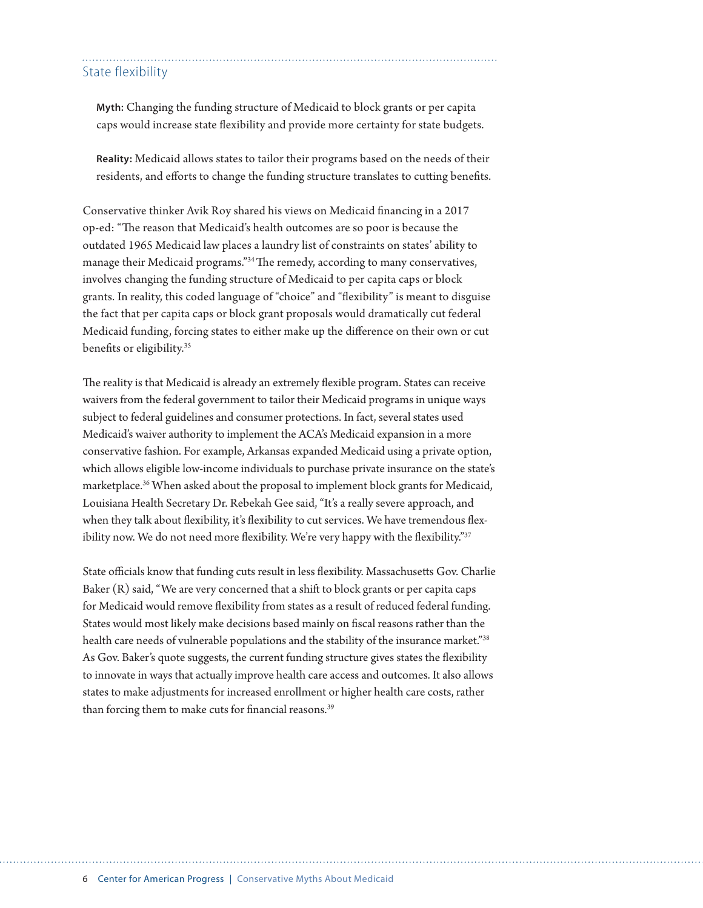#### State flexibility

**Myth:** Changing the funding structure of Medicaid to block grants or per capita caps would increase state fexibility and provide more certainty for state budgets.

**Reality:** Medicaid allows states to tailor their programs based on the needs of their residents, and eforts to change the funding structure translates to cuting benefts.

Conservative thinker Avik Roy shared his views on Medicaid fnancing in a 2017 op-ed: "The reason that Medicaid's health outcomes are so poor is because the outdated 1965 Medicaid law places a laundry list of constraints on states' ability to manage their Medicaid programs."<sup>34</sup> The remedy, according to many conservatives, involves changing the funding structure of Medicaid to per capita caps or block grants. In reality, this coded language of "choice" and "fexibility" is meant to disguise the fact that per capita caps or block grant proposals would dramatically cut federal Medicaid funding, forcing states to either make up the diference on their own or cut benefits or eligibility.<sup>35</sup>

The reality is that Medicaid is already an extremely flexible program. States can receive waivers from the federal government to tailor their Medicaid programs in unique ways subject to federal guidelines and consumer protections. In fact, several states used Medicaid's waiver authority to implement the ACA's Medicaid expansion in a more conservative fashion. For example, Arkansas expanded Medicaid using a private option, which allows eligible low-income individuals to purchase private insurance on the state's marketplace.36 When asked about the proposal to implement block grants for Medicaid, Louisiana Health Secretary Dr. Rebekah Gee said, "It's a really severe approach, and when they talk about flexibility, it's flexibility to cut services. We have tremendous flexibility now. We do not need more flexibility. We're very happy with the flexibility."<sup>37</sup>

State officials know that funding cuts result in less flexibility. Massachusetts Gov. Charlie Baker  $(R)$  said, "We are very concerned that a shift to block grants or per capita caps for Medicaid would remove fexibility from states as a result of reduced federal funding. States would most likely make decisions based mainly on fscal reasons rather than the health care needs of vulnerable populations and the stability of the insurance market."38 As Gov. Baker's quote suggests, the current funding structure gives states the fexibility to innovate in ways that actually improve health care access and outcomes. It also allows states to make adjustments for increased enrollment or higher health care costs, rather than forcing them to make cuts for financial reasons.<sup>39</sup>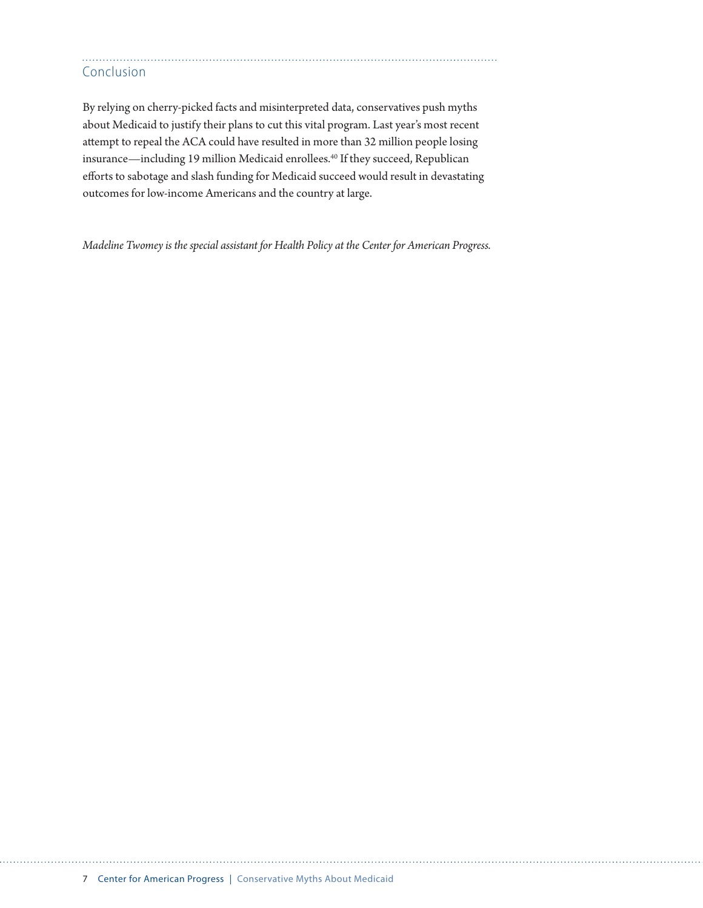# Conclusion

By relying on cherry-picked facts and misinterpreted data, conservatives push myths about Medicaid to justify their plans to cut this vital program. Last year's most recent atempt to repeal the ACA could have resulted in more than 32 million people losing insurance—including 19 million Medicaid enrollees.<sup>40</sup> If they succeed, Republican eforts to sabotage and slash funding for Medicaid succeed would result in devastating outcomes for low-income Americans and the country at large.

*Madeline Twomey is the special assistant for Health Policy at the Center for American Progress.*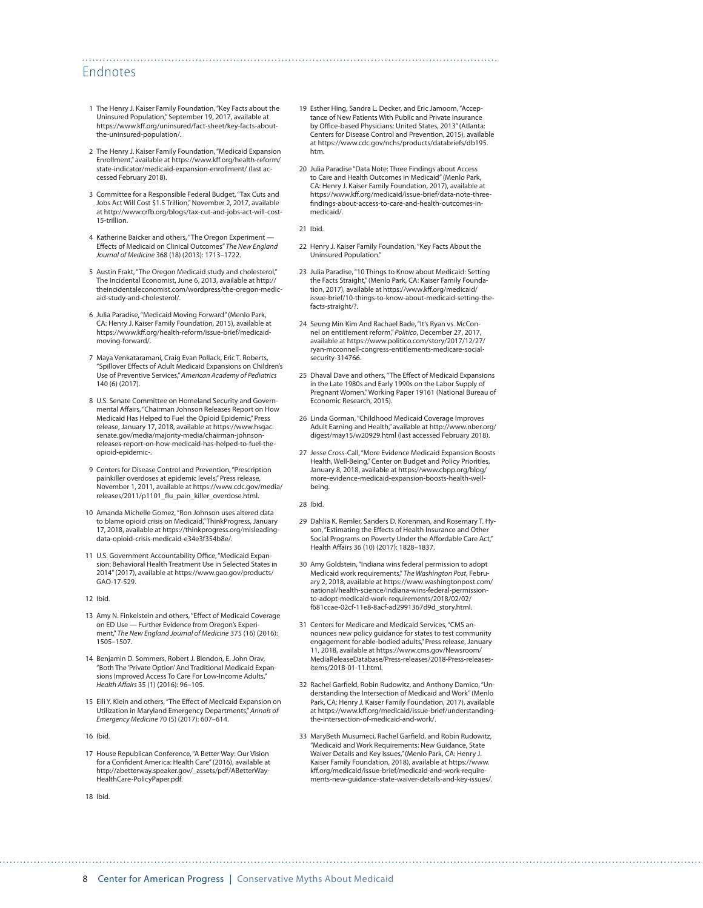#### Endnotes

- 1 The Henry J. Kaiser Family Foundation, "Key Facts about the Uninsured Population," September 19, 2017, available at https://www.kf[.org/uninsured/fact-sheet/key-facts-about](https://www.kff.org/uninsured/fact-sheet/key-facts-about-the-uninsured-population/)[the-uninsured-population/.](https://www.kff.org/uninsured/fact-sheet/key-facts-about-the-uninsured-population/)
- 2 The Henry J. Kaiser Family Foundation, "Medicaid Expansion Enrollment," available at https://www.kf[.org/health-reform/](https://www.kff.org/health-reform/state-indicator/medicaid-expansion-enrollment/) [state-indicator/medicaid-expansion-enrollment/](https://www.kff.org/health-reform/state-indicator/medicaid-expansion-enrollment/) (last accessed February 2018).
- 3 Committee for a Responsible Federal Budget, "Tax Cuts and Jobs Act Will Cost \$1.5 Trillion," November 2, 2017, available at [http://www.crfb.org/blogs/tax-cut-and-jobs-act-will-cost-](http://www.crfb.org/blogs/tax-cut-and-jobs-act-will-cost-15-trillion)[15-trillion](http://www.crfb.org/blogs/tax-cut-and-jobs-act-will-cost-15-trillion).
- 4 Katherine Baicker and others, "The Oregon Experiment Efects of Medicaid on Clinical Outcomes" *The New England Journal of Medicine* 368 (18) (2013): 1713–1722.
- 5 Austin Frakt, "The Oregon Medicaid study and cholesterol," The Incidental Economist, June 6, 2013, available at [http://](http://theincidentaleconomist.com/wordpress/the-oregon-medicaid-study-and-cholesterol/) [theincidentaleconomist.com/wordpress/the-oregon-medic](http://theincidentaleconomist.com/wordpress/the-oregon-medicaid-study-and-cholesterol/)[aid-study-and-cholesterol/](http://theincidentaleconomist.com/wordpress/the-oregon-medicaid-study-and-cholesterol/).
- 6 Julia Paradise, "Medicaid Moving Forward" (Menlo Park, CA: Henry J. Kaiser Family Foundation, 2015), available at https://www.kf[.org/health-reform/issue-brief/medicaid](https://www.kff.org/health-reform/issue-brief/medicaid-moving-forward/)[moving-forward/](https://www.kff.org/health-reform/issue-brief/medicaid-moving-forward/).
- 7 Maya Venkataramani, Craig Evan Pollack, Eric T. Roberts, "Spillover Efects of Adult Medicaid Expansions on Children's Use of Preventive Services," *American Academy of Pediatrics*  140 (6) (2017).
- 8 U.S. Senate Committee on Homeland Security and Governmental Afairs, "[Chairman Johnson Releases Report on How](https://www.hsgac.senate.gov/media/majority-media/chairman-johnson-releases-report-on-how-medicaid-has-helped-to-fuel-the-opioid-epidemic-)  [Medicaid Has Helped to Fuel the Opioid Epidemic," Press](https://www.hsgac.senate.gov/media/majority-media/chairman-johnson-releases-report-on-how-medicaid-has-helped-to-fuel-the-opioid-epidemic-)  [release, January 17, 2018, available at https://www.hsgac.](https://www.hsgac.senate.gov/media/majority-media/chairman-johnson-releases-report-on-how-medicaid-has-helped-to-fuel-the-opioid-epidemic-) [senate.gov/media/majority-media/chairman-johnson](https://www.hsgac.senate.gov/media/majority-media/chairman-johnson-releases-report-on-how-medicaid-has-helped-to-fuel-the-opioid-epidemic-)[releases-report-on-how-medicaid-has-helped-to-fuel-the](https://www.hsgac.senate.gov/media/majority-media/chairman-johnson-releases-report-on-how-medicaid-has-helped-to-fuel-the-opioid-epidemic-)[opioid-epidemic-.](https://www.hsgac.senate.gov/media/majority-media/chairman-johnson-releases-report-on-how-medicaid-has-helped-to-fuel-the-opioid-epidemic-)
- 9 Centers for Disease Control and Prevention, "Prescription painkiller overdoses at epidemic levels," Press release, November 1, 2011, available at [https://www.cdc.gov/media/](https://www.cdc.gov/media/releases/2011/p1101_flu_pain_killer_overdose.html) releases/2011/p1101\_f[u\\_pain\\_killer\\_overdose.html](https://www.cdc.gov/media/releases/2011/p1101_flu_pain_killer_overdose.html).
- 10 Amanda Michelle Gomez, "Ron Johnson uses altered data to blame opioid crisis on Medicaid," ThinkProgress, January 17, 2018, available at [https://thinkprogress.org/misleading](https://thinkprogress.org/misleading-data-opioid-crisis-medicaid-e34e3f354b8e/)[data-opioid-crisis-medicaid-e34e3f354b8e/](https://thinkprogress.org/misleading-data-opioid-crisis-medicaid-e34e3f354b8e/).
- 11 U.S. Government Accountability Office, "Medicaid Expansion: Behavioral Health Treatment Use in Selected States in 2014" (2017), available at [https://www.gao.gov/products/](https://www.gao.gov/products/GAO-17-529) [GAO-17-529](https://www.gao.gov/products/GAO-17-529).
- 12 Ibid.
- 13 Amy N. Finkelstein and others, "Effect of Medicaid Coverage on ED Use — Further Evidence from Oregon's Experiment," *The New England Journal of Medicine* 375 (16) (2016): 1505–1507.
- 14 Benjamin D. Sommers, Robert J. Blendon, E. John Orav, "Both The 'Private Option' And Traditional Medicaid Expansions Improved Access To Care For Low-Income Adults," *Health A*f*airs* 35 (1) (2016): 96–105.
- 15 Eili Y. Klein and others, "The Efect of Medicaid Expansion on Utilization in Maryland Emergency Departments," *Annals of Emergency Medicine* 70 (5) (2017): 607–614.
- 16 Ibid.
- 17 House Republican Conference, "A Better Way: Our Vision for a Confdent America: Health Care" (2016), available at [http://abetterway.speaker.gov/\\_assets/pdf/ABetterWay-](http://abetterway.speaker.gov/_assets/pdf/ABetterWay-HealthCare-PolicyPaper.pdf)[HealthCare-PolicyPaper.pdf.](http://abetterway.speaker.gov/_assets/pdf/ABetterWay-HealthCare-PolicyPaper.pdf)
- 18 Ibid.
- 19 Esther Hing, Sandra L. Decker, and Eric Jamoom, "Acceptance of New Patients With Public and Private Insurance by Office-based Physicians: United States, 2013" (Atlanta: Centers for Disease Control and Prevention, 2015), available at [https://www.cdc.gov/nchs/products/databriefs/db195.](https://www.cdc.gov/nchs/products/databriefs/db195.htm) [htm](https://www.cdc.gov/nchs/products/databriefs/db195.htm).
- 20 Julia Paradise "Data Note: Three Findings about Access to Care and Health Outcomes in Medicaid" (Menlo Park, CA: Henry J. Kaiser Family Foundation, 2017), available at https://www.kf[.org/medicaid/issue-brief/data-note-three](https://www.kff.org/medicaid/issue-brief/data-note-three-findings-about-access-to-care-and-health-outcomes-in-medicaid/)f[ndings-about-access-to-care-and-health-outcomes-in](https://www.kff.org/medicaid/issue-brief/data-note-three-findings-about-access-to-care-and-health-outcomes-in-medicaid/)[medicaid/.](https://www.kff.org/medicaid/issue-brief/data-note-three-findings-about-access-to-care-and-health-outcomes-in-medicaid/)

21 Ibid.

- 22 Henry J. Kaiser Family Foundation, "Key Facts About the Uninsured Population."
- 23 Julia Paradise, "10 Things to Know about Medicaid: Setting the Facts Straight," (Menlo Park, CA: Kaiser Family Foundation, 2017), available at https://www.kf[.org/medicaid/](https://www.kff.org/medicaid/issue-brief/10-things-to-know-about-medicaid-setting-the-facts-straight/?utm_campaign=KFF-2018-Medicaid&utm_content=65473143&utm_medium=social&utm_source=twitter) [issue-brief/10-things-to-know-about-medicaid-setting-the](https://www.kff.org/medicaid/issue-brief/10-things-to-know-about-medicaid-setting-the-facts-straight/?utm_campaign=KFF-2018-Medicaid&utm_content=65473143&utm_medium=social&utm_source=twitter)[facts-straight/?.](https://www.kff.org/medicaid/issue-brief/10-things-to-know-about-medicaid-setting-the-facts-straight/?utm_campaign=KFF-2018-Medicaid&utm_content=65473143&utm_medium=social&utm_source=twitter)
- 24 Seung Min Kim And Rachael Bade, "It's Ryan vs. McConnel on entitlement reform," *Politico*, December 27, 2017, available at [https://www.politico.com/story/2017/12/27/](https://www.politico.com/story/2017/12/27/ryan-mcconnell-congress-entitlements-medicare-social-security-314766) [ryan-mcconnell-congress-entitlements-medicare-social](https://www.politico.com/story/2017/12/27/ryan-mcconnell-congress-entitlements-medicare-social-security-314766)[security-314766](https://www.politico.com/story/2017/12/27/ryan-mcconnell-congress-entitlements-medicare-social-security-314766).
- 25 Dhaval Dave and others, "The Efect of Medicaid Expansions in the Late 1980s and Early 1990s on the Labor Supply of Pregnant Women." Working Paper 19161 (National Bureau of Economic Research, 2015).
- 26 Linda Gorman, "Childhood Medicaid Coverage Improves Adult Earning and Health," available at [http://www.nber.org/](http://www.nber.org/digest/may15/w20929.html) [digest/may15/w20929.html](http://www.nber.org/digest/may15/w20929.html) (last accessed February 2018).
- 27 Jesse Cross-Call, "More Evidence Medicaid Expansion Boosts Health, Well-Being," Center on Budget and Policy Priorities, January 8, 2018, available at [https://www.cbpp.org/blog/](https://www.cbpp.org/blog/more-evidence-medicaid-expansion-boosts-health-well-being) [more-evidence-medicaid-expansion-boosts-health-well](https://www.cbpp.org/blog/more-evidence-medicaid-expansion-boosts-health-well-being)[being.](https://www.cbpp.org/blog/more-evidence-medicaid-expansion-boosts-health-well-being)

28 Ibid.

- 29 Dahlia K. Remler, Sanders D. Korenman, and Rosemary T. Hyson, "Estimating the Efects of Health Insurance and Other Social Programs on Poverty Under the Affordable Care Act," Health Afairs 36 (10) (2017): 1828–1837.
- 30 Amy Goldstein, "Indiana wins federal permission to adopt Medicaid work requirements," *The Washington Post*, February 2, 2018, available at [https://www.washingtonpost.com/](https://www.washingtonpost.com/national/health-science/indiana-wins-federal-permission-to-adopt-medicaid-work-requirements/2018/02/02/f681ccae-02cf-11e8-8acf-ad2991367d9d_story.html) [national/health-science/indiana-wins-federal-permission](https://www.washingtonpost.com/national/health-science/indiana-wins-federal-permission-to-adopt-medicaid-work-requirements/2018/02/02/f681ccae-02cf-11e8-8acf-ad2991367d9d_story.html)[to-adopt-medicaid-work-requirements/2018/02/02/](https://www.washingtonpost.com/national/health-science/indiana-wins-federal-permission-to-adopt-medicaid-work-requirements/2018/02/02/f681ccae-02cf-11e8-8acf-ad2991367d9d_story.html) [f681ccae-02cf-11e8-8acf-ad2991367d9d\\_story.html](https://www.washingtonpost.com/national/health-science/indiana-wins-federal-permission-to-adopt-medicaid-work-requirements/2018/02/02/f681ccae-02cf-11e8-8acf-ad2991367d9d_story.html).
- 31 Centers for Medicare and Medicaid Services, "CMS announces new policy guidance for states to test community engagement for able-bodied adults," Press release, January 11, 2018, available at [https://www.cms.gov/Newsroom/](https://www.cms.gov/Newsroom/MediaReleaseDatabase/Press-releases/2018-Press-releases-items/2018-01-11.html) [MediaReleaseDatabase/Press-releases/2018-Press-releases](https://www.cms.gov/Newsroom/MediaReleaseDatabase/Press-releases/2018-Press-releases-items/2018-01-11.html)[items/2018-01-11.html](https://www.cms.gov/Newsroom/MediaReleaseDatabase/Press-releases/2018-Press-releases-items/2018-01-11.html).
- 32 Rachel Garfeld, Robin Rudowitz, and Anthony Damico, "Understanding the Intersection of Medicaid and Work" (Menlo Park, CA: Henry J. Kaiser Family Foundation, 2017), available at https://www.kf[.org/medicaid/issue-brief/understanding](https://www.kff.org/medicaid/issue-brief/understanding-the-intersection-of-medicaid-and-work/)[the-intersection-of-medicaid-and-work/](https://www.kff.org/medicaid/issue-brief/understanding-the-intersection-of-medicaid-and-work/).
- 33 MaryBeth Musumeci, Rachel Garfeld, and Robin Rudowitz, "Medicaid and Work Requirements: New Guidance, State Waiver Details and Key Issues," (Menlo Park, CA: Henry J. Kaiser Family Foundation, 2018), available at [https://www.](https://www.kff.org/medicaid/issue-brief/medicaid-and-work-requirements-new-guidance-state-waiver-details-and-key-issues/) kf[.org/medicaid/issue-brief/medicaid-and-work-require](https://www.kff.org/medicaid/issue-brief/medicaid-and-work-requirements-new-guidance-state-waiver-details-and-key-issues/)[ments-new-guidance-state-waiver-details-and-key-issues/.](https://www.kff.org/medicaid/issue-brief/medicaid-and-work-requirements-new-guidance-state-waiver-details-and-key-issues/)